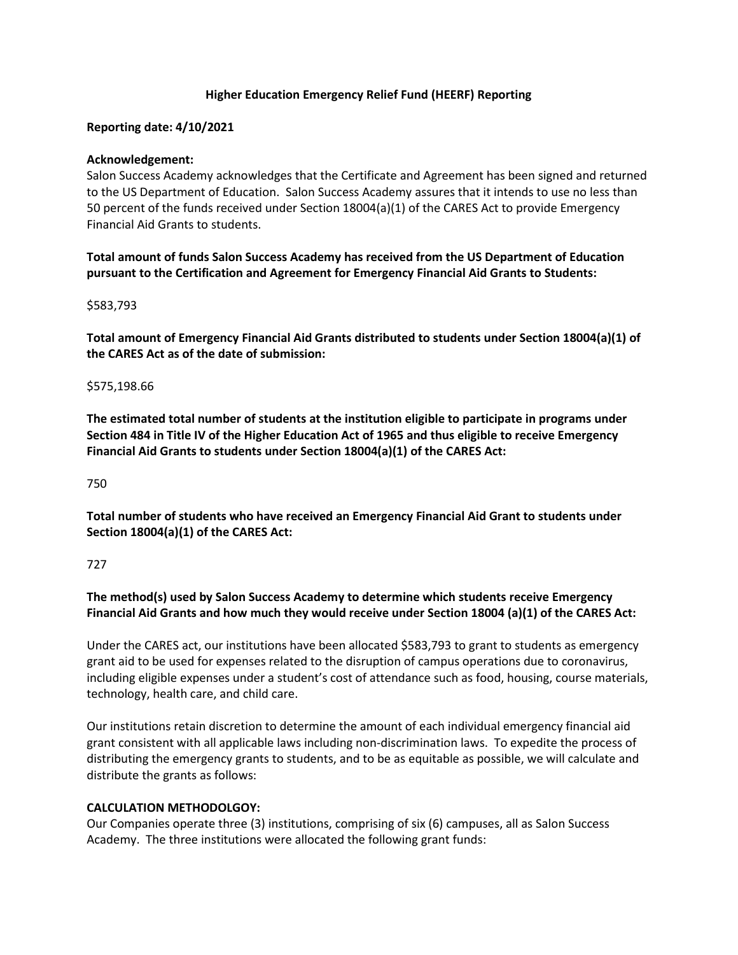## **Higher Education Emergency Relief Fund (HEERF) Reporting**

## **Reporting date: 4/10/2021**

## **Acknowledgement:**

Salon Success Academy acknowledges that the Certificate and Agreement has been signed and returned to the US Department of Education. Salon Success Academy assures that it intends to use no less than 50 percent of the funds received under Section 18004(a)(1) of the CARES Act to provide Emergency Financial Aid Grants to students.

**Total amount of funds Salon Success Academy has received from the US Department of Education pursuant to the Certification and Agreement for Emergency Financial Aid Grants to Students:**

#### \$583,793

**Total amount of Emergency Financial Aid Grants distributed to students under Section 18004(a)(1) of the CARES Act as of the date of submission:**

#### \$575,198.66

**The estimated total number of students at the institution eligible to participate in programs under Section 484 in Title IV of the Higher Education Act of 1965 and thus eligible to receive Emergency Financial Aid Grants to students under Section 18004(a)(1) of the CARES Act:**

### 750

**Total number of students who have received an Emergency Financial Aid Grant to students under Section 18004(a)(1) of the CARES Act:**

#### 727

**The method(s) used by Salon Success Academy to determine which students receive Emergency Financial Aid Grants and how much they would receive under Section 18004 (a)(1) of the CARES Act:**

Under the CARES act, our institutions have been allocated \$583,793 to grant to students as emergency grant aid to be used for expenses related to the disruption of campus operations due to coronavirus, including eligible expenses under a student's cost of attendance such as food, housing, course materials, technology, health care, and child care.

Our institutions retain discretion to determine the amount of each individual emergency financial aid grant consistent with all applicable laws including non-discrimination laws. To expedite the process of distributing the emergency grants to students, and to be as equitable as possible, we will calculate and distribute the grants as follows:

## **CALCULATION METHODOLGOY:**

Our Companies operate three (3) institutions, comprising of six (6) campuses, all as Salon Success Academy. The three institutions were allocated the following grant funds: